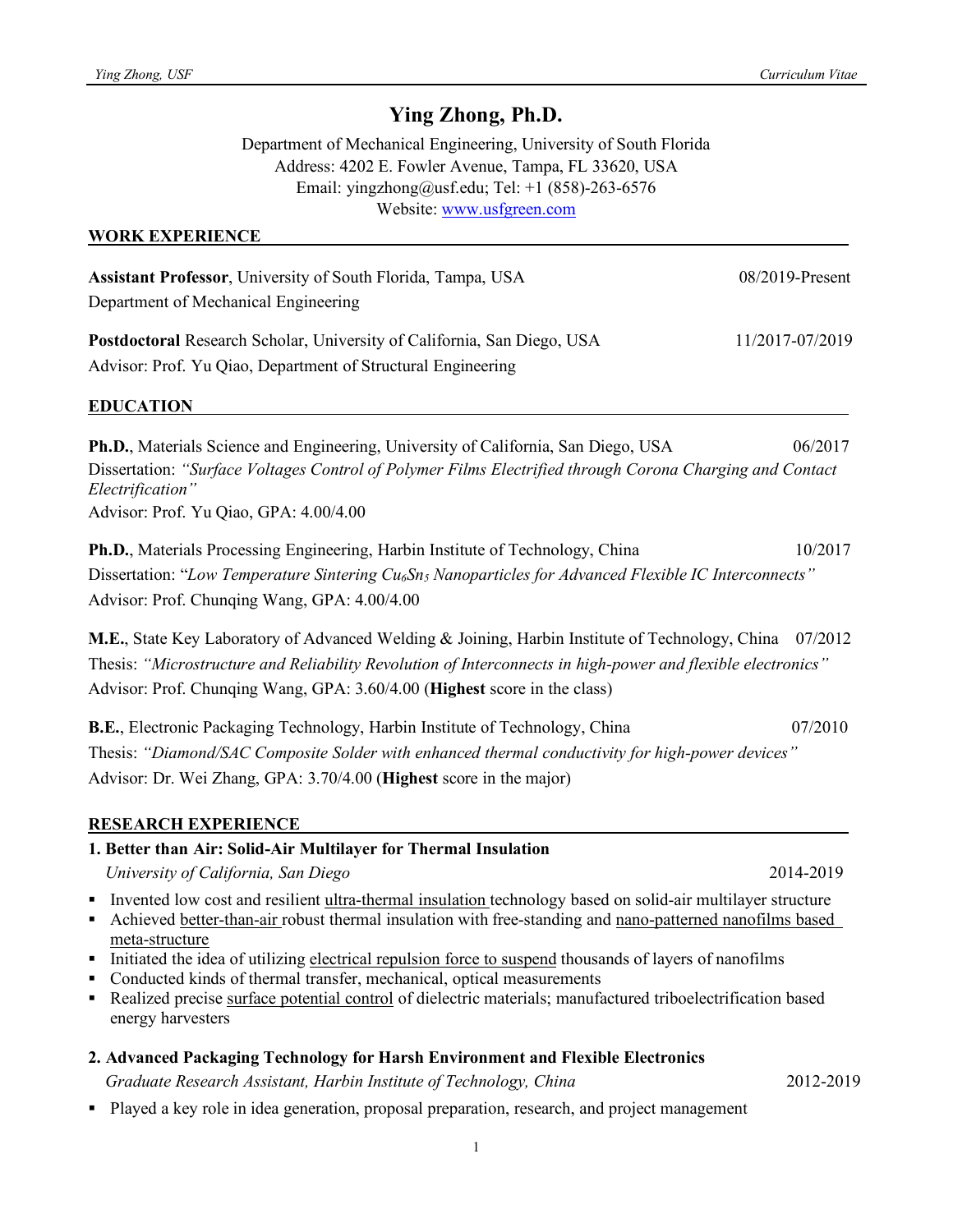# **Ying Zhong, Ph.D.**

Department of Mechanical Engineering, University of South Florida Address: 4202 E. Fowler Avenue, Tampa, FL 33620, USA Email: yingzhong@usf.edu; Tel: +1 (858)-263-6576 Website: www.usfgreen.com

## **WORK EXPERIENCE**

| Assistant Professor, University of South Florida, Tampa, USA                                                                                                                                                                                                                                                                                                                                                                                                                                                                                                                    | 08/2019-Present |
|---------------------------------------------------------------------------------------------------------------------------------------------------------------------------------------------------------------------------------------------------------------------------------------------------------------------------------------------------------------------------------------------------------------------------------------------------------------------------------------------------------------------------------------------------------------------------------|-----------------|
| Department of Mechanical Engineering                                                                                                                                                                                                                                                                                                                                                                                                                                                                                                                                            |                 |
| Postdoctoral Research Scholar, University of California, San Diego, USA<br>Advisor: Prof. Yu Qiao, Department of Structural Engineering                                                                                                                                                                                                                                                                                                                                                                                                                                         | 11/2017-07/2019 |
| <b>EDUCATION</b>                                                                                                                                                                                                                                                                                                                                                                                                                                                                                                                                                                |                 |
| <b>Ph.D., Materials Science and Engineering, University of California, San Diego, USA</b><br>Dissertation: "Surface Voltages Control of Polymer Films Electrified through Corona Charging and Contact<br>Electrification"<br>Advisor: Prof. Yu Qiao, GPA: 4.00/4.00                                                                                                                                                                                                                                                                                                             | 06/2017         |
| Ph.D., Materials Processing Engineering, Harbin Institute of Technology, China<br>Dissertation: "Low Temperature Sintering Cu <sub>6</sub> Sn <sub>5</sub> Nanoparticles for Advanced Flexible IC Interconnects"<br>Advisor: Prof. Chunqing Wang, GPA: 4.00/4.00                                                                                                                                                                                                                                                                                                                | 10/2017         |
| M.E., State Key Laboratory of Advanced Welding & Joining, Harbin Institute of Technology, China<br>Thesis: "Microstructure and Reliability Revolution of Interconnects in high-power and flexible electronics"<br>Advisor: Prof. Chunqing Wang, GPA: 3.60/4.00 (Highest score in the class)                                                                                                                                                                                                                                                                                     | 07/2012         |
| B.E., Electronic Packaging Technology, Harbin Institute of Technology, China<br>Thesis: "Diamond/SAC Composite Solder with enhanced thermal conductivity for high-power devices"<br>Advisor: Dr. Wei Zhang, GPA: 3.70/4.00 (Highest score in the major)                                                                                                                                                                                                                                                                                                                         | 07/2010         |
| <b>RESEARCH EXPERIENCE</b>                                                                                                                                                                                                                                                                                                                                                                                                                                                                                                                                                      |                 |
| 1. Better than Air: Solid-Air Multilayer for Thermal Insulation                                                                                                                                                                                                                                                                                                                                                                                                                                                                                                                 |                 |
| University of California, San Diego                                                                                                                                                                                                                                                                                                                                                                                                                                                                                                                                             | 2014-2019       |
| Invented low cost and resilient ultra-thermal insulation technology based on solid-air multilayer structure<br>٠<br>Achieved better-than-air robust thermal insulation with free-standing and nano-patterned nanofilms based<br>٠<br>meta-structure<br>Initiated the idea of utilizing electrical repulsion force to suspend thousands of layers of nanofilms<br>Conducted kinds of thermal transfer, mechanical, optical measurements<br>Realized precise surface potential control of dielectric materials; manufactured triboelectrification based<br>٠<br>energy harvesters |                 |
| 2. Advanced Packaging Technology for Harsh Environment and Flexible Electronics                                                                                                                                                                                                                                                                                                                                                                                                                                                                                                 |                 |
| Graduate Research Assistant, Harbin Institute of Technology, China                                                                                                                                                                                                                                                                                                                                                                                                                                                                                                              | 2012-2019       |
| Played a key role in idea generation, proposal preparation, research, and project management<br>٠.                                                                                                                                                                                                                                                                                                                                                                                                                                                                              |                 |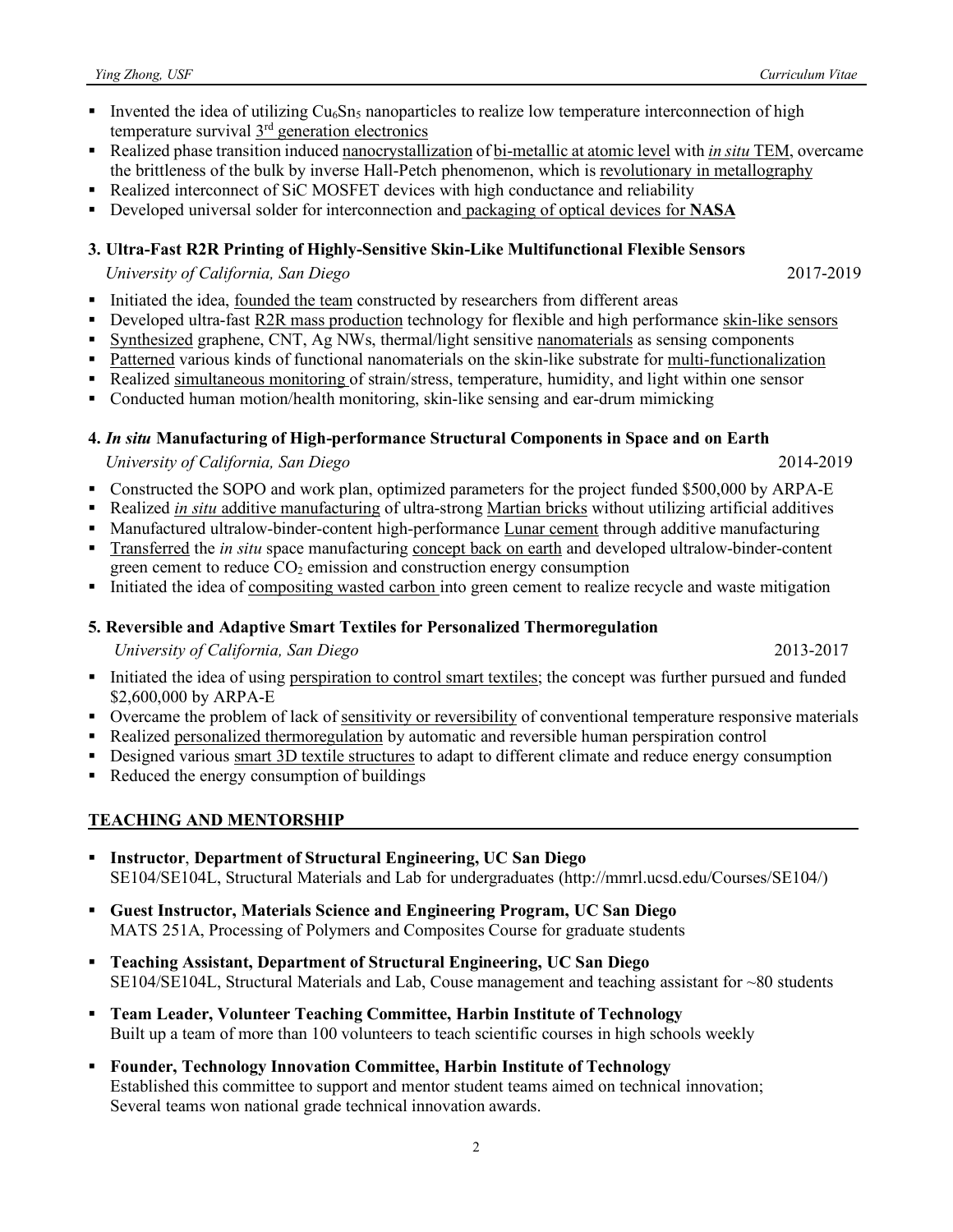- **•** Invented the idea of utilizing  $Cu<sub>6</sub>Sn<sub>5</sub>$  nanoparticles to realize low temperature interconnection of high temperature survival 3<sup>rd</sup> generation electronics
- Realized phase transition induced nanocrystallization of bi-metallic at atomic level with *in situ* TEM, overcame the brittleness of the bulk by inverse Hall-Petch phenomenon, which is revolutionary in metallography
- Realized interconnect of SiC MOSFET devices with high conductance and reliability
- § Developed universal solder for interconnection and packaging of optical devices for **NASA**

### **3. Ultra-Fast R2R Printing of Highly-Sensitive Skin-Like Multifunctional Flexible Sensors**

 *University of California, San Diego* 2017-2019

- Initiated the idea, founded the team constructed by researchers from different areas
- § Developed ultra-fast R2R mass production technology for flexible and high performance skin-like sensors
- § Synthesized graphene, CNT, Ag NWs, thermal/light sensitive nanomaterials as sensing components
- Patterned various kinds of functional nanomaterials on the skin-like substrate for multi-functionalization
- Realized simultaneous monitoring of strain/stress, temperature, humidity, and light within one sensor
- § Conducted human motion/health monitoring, skin-like sensing and ear-drum mimicking
- **4.** *In situ* **Manufacturing of High-performance Structural Components in Space and on Earth**

# *University of California, San Diego* 2014-2019

- Constructed the SOPO and work plan, optimized parameters for the project funded \$500,000 by ARPA-E
- § Realized *in situ* additive manufacturing of ultra-strong Martian bricks without utilizing artificial additives
- Manufactured ultralow-binder-content high-performance Lunar cement through additive manufacturing
- § Transferred the *in situ* space manufacturing concept back on earth and developed ultralow-binder-content green cement to reduce  $CO<sub>2</sub>$  emission and construction energy consumption
- Initiated the idea of compositing wasted carbon into green cement to realize recycle and waste mitigation

# **5. Reversible and Adaptive Smart Textiles for Personalized Thermoregulation**

 *University of California, San Diego* 2013-2017

§ Initiated the idea of using perspiration to control smart textiles; the concept was further pursued and funded \$2,600,000 by ARPA-E

- Overcame the problem of lack of sensitivity or reversibility of conventional temperature responsive materials
- Realized personalized thermoregulation by automatic and reversible human perspiration control
- Designed various smart 3D textile structures to adapt to different climate and reduce energy consumption
- Reduced the energy consumption of buildings

# **TEACHING AND MENTORSHIP**

- § **Instructor**, **Department of Structural Engineering, UC San Diego** SE104/SE104L, Structural Materials and Lab for undergraduates (http://mmrl.ucsd.edu/Courses/SE104/)
- § **Guest Instructor, Materials Science and Engineering Program, UC San Diego** MATS 251A, Processing of Polymers and Composites Course for graduate students
- § **Teaching Assistant, Department of Structural Engineering, UC San Diego** SE104/SE104L, Structural Materials and Lab, Couse management and teaching assistant for ~80 students
- § **Team Leader, Volunteer Teaching Committee, Harbin Institute of Technology**  Built up a team of more than 100 volunteers to teach scientific courses in high schools weekly
- § **Founder, Technology Innovation Committee, Harbin Institute of Technology** Established this committee to support and mentor student teams aimed on technical innovation; Several teams won national grade technical innovation awards.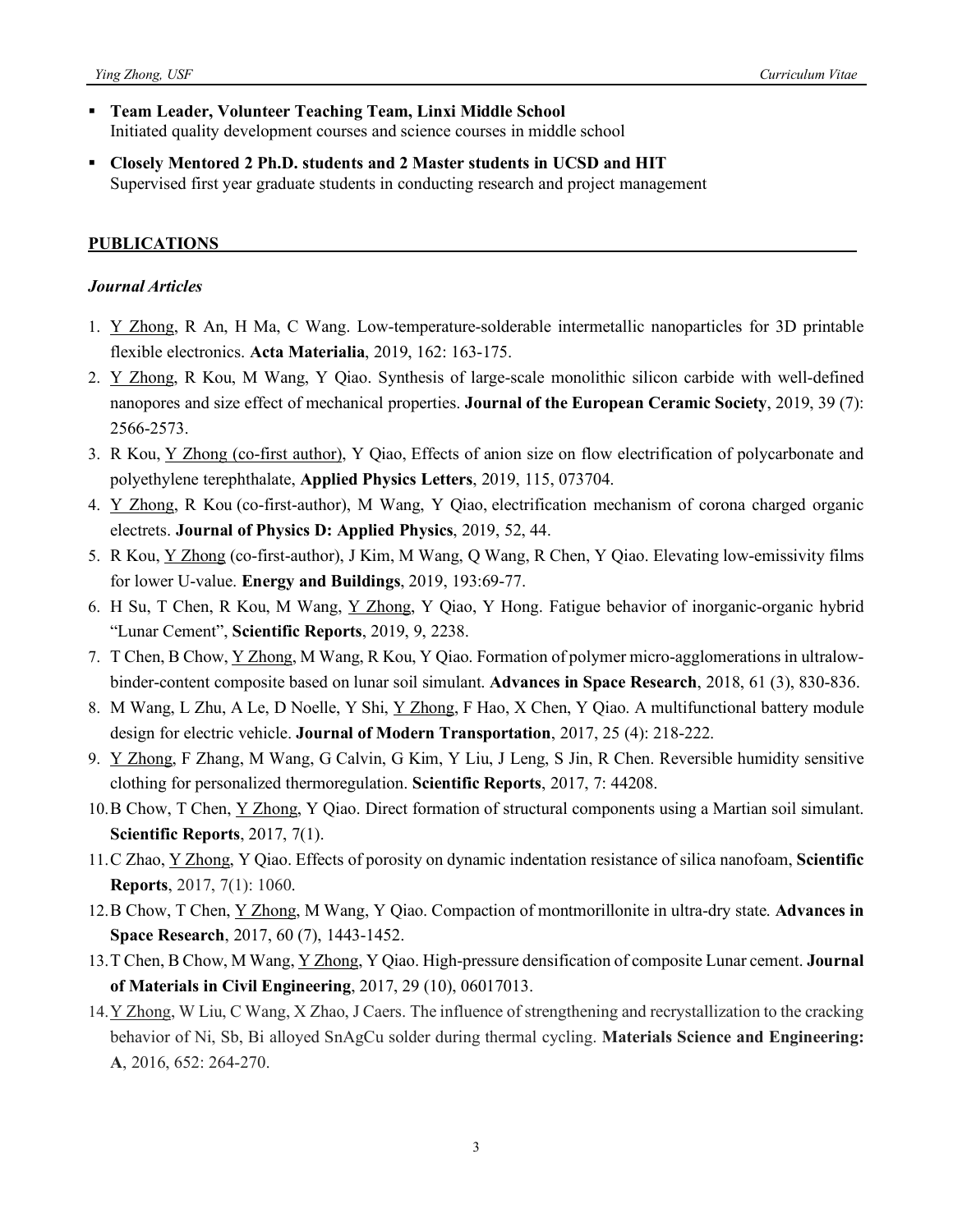- § **Team Leader, Volunteer Teaching Team, Linxi Middle School** Initiated quality development courses and science courses in middle school
- § **Closely Mentored 2 Ph.D. students and 2 Master students in UCSD and HIT** Supervised first year graduate students in conducting research and project management

#### **PUBLICATIONS**

#### *Journal Articles*

- 1. Y Zhong, R An, H Ma, C Wang. Low-temperature-solderable intermetallic nanoparticles for 3D printable flexible electronics. **Acta Materialia**, 2019, 162: 163-175.
- 2. Y Zhong, R Kou, M Wang, Y Qiao. Synthesis of large-scale monolithic silicon carbide with well-defined nanopores and size effect of mechanical properties. **Journal of the European Ceramic Society**, 2019, 39 (7): 2566-2573.
- 3. R Kou, Y Zhong (co-first author), Y Qiao, Effects of anion size on flow electrification of polycarbonate and polyethylene terephthalate, **Applied Physics Letters**, 2019, 115, 073704.
- 4. Y Zhong, R Kou (co-first-author), M Wang, Y Qiao, electrification mechanism of corona charged organic electrets. **Journal of Physics D: Applied Physics**, 2019, 52, 44.
- 5. R Kou, Y Zhong (co-first-author), J Kim, M Wang, Q Wang, R Chen, Y Qiao. Elevating low-emissivity films for lower U-value. **Energy and Buildings**, 2019, 193:69-77.
- 6. H Su, T Chen, R Kou, M Wang, Y Zhong, Y Qiao, Y Hong. Fatigue behavior of inorganic-organic hybrid "Lunar Cement", **Scientific Reports**, 2019, 9, 2238.
- 7. T Chen, B Chow, Y Zhong, M Wang, R Kou, Y Qiao. Formation of polymer micro-agglomerations in ultralowbinder-content composite based on lunar soil simulant. **Advances in Space Research**, 2018, 61 (3), 830-836.
- 8. M Wang, L Zhu, A Le, D Noelle, Y Shi, Y Zhong, F Hao, X Chen, Y Qiao. A multifunctional battery module design for electric vehicle. **Journal of Modern Transportation**, 2017, 25 (4): 218-222.
- 9. Y Zhong, F Zhang, M Wang, G Calvin, G Kim, Y Liu, J Leng, S Jin, R Chen. Reversible humidity sensitive clothing for personalized thermoregulation. **Scientific Reports**, 2017, 7: 44208.
- 10.B Chow, T Chen, Y Zhong, Y Qiao. Direct formation of structural components using a Martian soil simulant. **Scientific Reports**, 2017, 7(1).
- 11.C Zhao, Y Zhong, Y Qiao. Effects of porosity on dynamic indentation resistance of silica nanofoam, **Scientific Reports**, 2017, 7(1): 1060.
- 12.B Chow, T Chen, Y Zhong, M Wang, Y Qiao. Compaction of montmorillonite in ultra-dry state. **Advances in Space Research**, 2017, 60 (7), 1443-1452.
- 13.T Chen, B Chow, M Wang, Y Zhong, Y Qiao. High-pressure densification of composite Lunar cement. **Journal of Materials in Civil Engineering**, 2017, 29 (10), 06017013.
- 14.Y Zhong, W Liu, C Wang, X Zhao, J Caers. The influence of strengthening and recrystallization to the cracking behavior of Ni, Sb, Bi alloyed SnAgCu solder during thermal cycling. **Materials Science and Engineering: A**, 2016, 652: 264-270.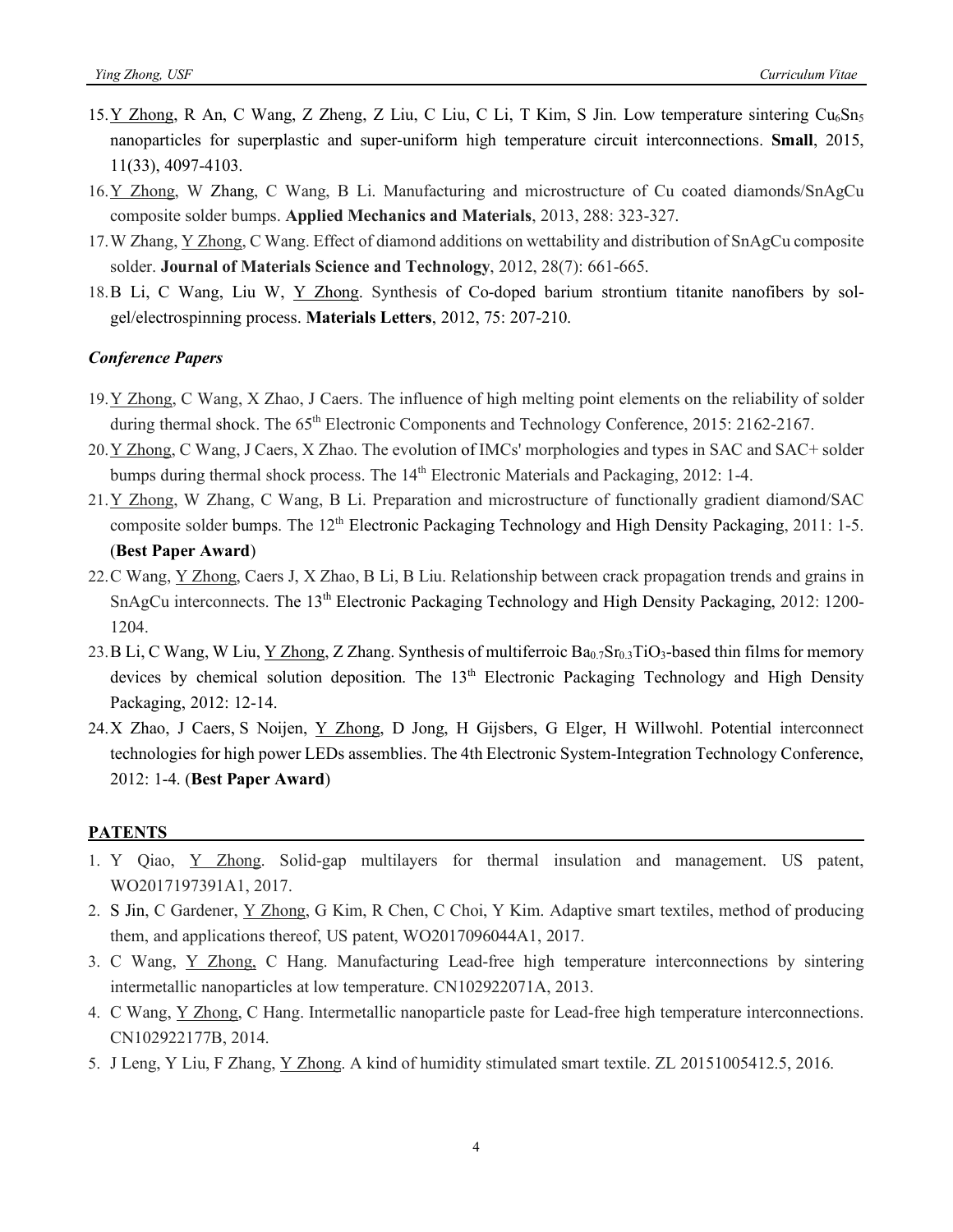- 15.Y Zhong, R An, C Wang, Z Zheng, Z Liu, C Liu, C Li, T Kim, S Jin. Low temperature sintering  $Cu<sub>6</sub>Sn<sub>5</sub>$ nanoparticles for superplastic and super-uniform high temperature circuit interconnections. **Small**, 2015, 11(33), 4097-4103.
- 16.Y Zhong, W Zhang, C Wang, B Li. Manufacturing and microstructure of Cu coated diamonds/SnAgCu composite solder bumps. **Applied Mechanics and Materials**, 2013, 288: 323-327.
- 17.W Zhang, Y Zhong, C Wang. Effect of diamond additions on wettability and distribution of SnAgCu composite solder. **Journal of Materials Science and Technology**, 2012, 28(7): 661-665.
- 18.B Li, C Wang, Liu W, Y Zhong. Synthesis of Co-doped barium strontium titanite nanofibers by solgel/electrospinning process. **Materials Letters**, 2012, 75: 207-210.

#### *Conference Papers*

- 19.Y Zhong, C Wang, X Zhao, J Caers. The influence of high melting point elements on the reliability of solder during thermal shock. The 65<sup>th</sup> Electronic Components and Technology Conference, 2015: 2162-2167.
- 20.Y Zhong, C Wang, J Caers, X Zhao. The evolution of IMCs' morphologies and types in SAC and SAC+ solder bumps during thermal shock process. The 14<sup>th</sup> Electronic Materials and Packaging, 2012: 1-4.
- 21.Y Zhong, W Zhang, C Wang, B Li. Preparation and microstructure of functionally gradient diamond/SAC composite solder bumps. The 12<sup>th</sup> Electronic Packaging Technology and High Density Packaging, 2011: 1-5. (**Best Paper Award**)
- 22.C Wang, Y Zhong, Caers J, X Zhao, B Li, B Liu. Relationship between crack propagation trends and grains in SnAgCu interconnects. The 13<sup>th</sup> Electronic Packaging Technology and High Density Packaging, 2012: 1200-1204.
- 23. B Li, C Wang, W Liu, Y Zhong, Z Zhang. Synthesis of multiferroic Ba<sub>0.7</sub>Sr<sub>0.3</sub>TiO<sub>3</sub>-based thin films for memory devices by chemical solution deposition. The 13<sup>th</sup> Electronic Packaging Technology and High Density Packaging, 2012: 12-14.
- 24.X Zhao, J Caers, S Noijen, Y Zhong, D Jong, H Gijsbers, G Elger, H Willwohl. Potential interconnect technologies for high power LEDs assemblies. The 4th Electronic System-Integration Technology Conference, 2012: 1-4. (**Best Paper Award**)

#### **PATENTS**

- 1. Y Qiao, Y Zhong. Solid-gap multilayers for thermal insulation and management. US patent, WO2017197391A1, 2017.
- 2. S Jin, C Gardener, Y Zhong, G Kim, R Chen, C Choi, Y Kim. Adaptive smart textiles, method of producing them, and applications thereof, US patent, WO2017096044A1, 2017.
- 3. C Wang, Y Zhong, C Hang. Manufacturing Lead-free high temperature interconnections by sintering intermetallic nanoparticles at low temperature. CN102922071A, 2013.
- 4. C Wang, Y Zhong, C Hang. Intermetallic nanoparticle paste for Lead-free high temperature interconnections. CN102922177B, 2014.
- 5. J Leng, Y Liu, F Zhang, Y Zhong. A kind of humidity stimulated smart textile. ZL 20151005412.5, 2016.